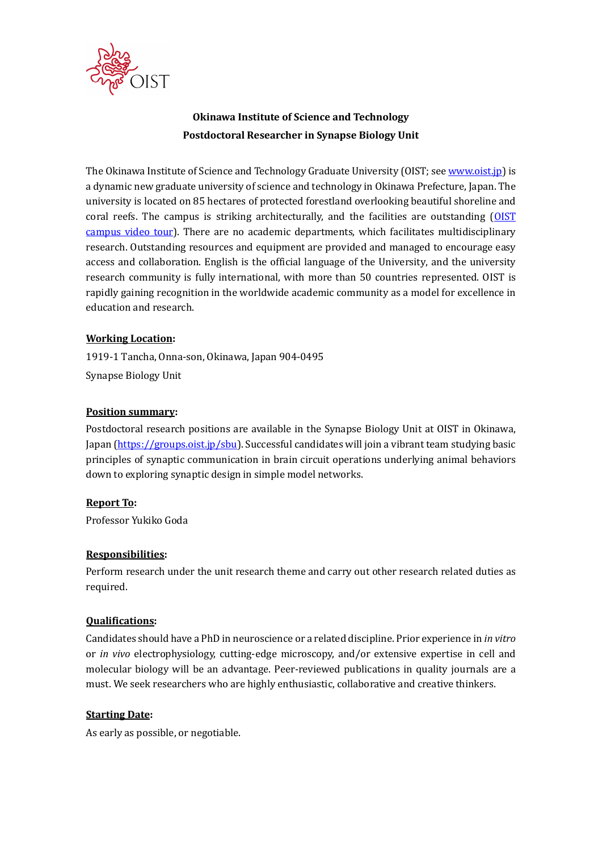

# Okinawa Institute of Science and Technology Postdoctoral Researcher in Synapse Biology Unit

The Okinawa Institute of Science and Technology Graduate University (OIST; see www.oist.jp) is a dynamic new graduate university of science and technology in Okinawa Prefecture, Japan. The university is located on 85 hectares of protected forestland overlooking beautiful shoreline and coral reefs. The campus is striking architecturally, and the facilities are outstanding (OIST campus video tour). There are no academic departments, which facilitates multidisciplinary research. Outstanding resources and equipment are provided and managed to encourage easy access and collaboration. English is the official language of the University, and the university research community is fully international, with more than 50 countries represented. OIST is rapidly gaining recognition in the worldwide academic community as a model for excellence in education and research.

#### Working Location:

1919-1 Tancha, Onna-son, Okinawa, Japan 904-0495 Synapse Biology Unit

#### Position summary:

Postdoctoral research positions are available in the Synapse Biology Unit at OIST in Okinawa, Japan (https://groups.oist.jp/sbu). Successful candidates will join a vibrant team studying basic principles of synaptic communication in brain circuit operations underlying animal behaviors down to exploring synaptic design in simple model networks.

#### Report To:

Professor Yukiko Goda

# Responsibilities:

Perform research under the unit research theme and carry out other research related duties as required.

# Qualifications:

Candidates should have a PhD in neuroscience or a related discipline. Prior experience in in vitro or in vivo electrophysiology, cutting-edge microscopy, and/or extensive expertise in cell and molecular biology will be an advantage. Peer-reviewed publications in quality journals are a must. We seek researchers who are highly enthusiastic, collaborative and creative thinkers.

# Starting Date:

As early as possible, or negotiable.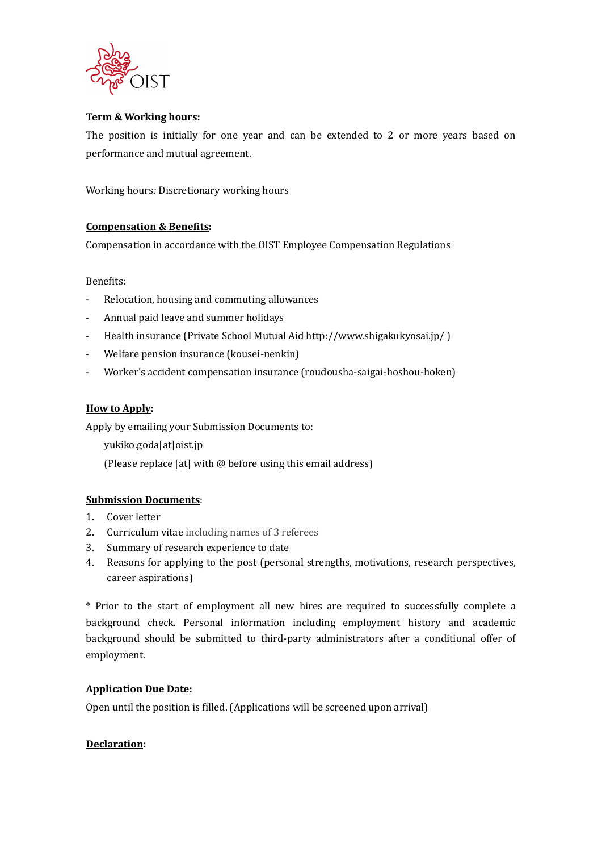

# Term & Working hours:

The position is initially for one year and can be extended to 2 or more years based on performance and mutual agreement.

Working hours: Discretionary working hours

#### Compensation & Benefits:

Compensation in accordance with the OIST Employee Compensation Regulations

Benefits:

- Relocation, housing and commuting allowances
- Annual paid leave and summer holidays
- Health insurance (Private School Mutual Aid http://www.shigakukyosai.jp/ )
- Welfare pension insurance (kousei-nenkin)
- Worker's accident compensation insurance (roudousha-saigai-hoshou-hoken)

#### How to Apply:

Apply by emailing your Submission Documents to:

yukiko.goda[at]oist.jp

(Please replace [at] with @ before using this email address)

# Submission Documents:

- 1. Cover letter
- 2. Curriculum vitae including names of 3 referees
- 3. Summary of research experience to date
- 4. Reasons for applying to the post (personal strengths, motivations, research perspectives, career aspirations)

\* Prior to the start of employment all new hires are required to successfully complete a background check. Personal information including employment history and academic background should be submitted to third-party administrators after a conditional offer of employment.

# Application Due Date:

Open until the position is filled. (Applications will be screened upon arrival)

# Declaration: